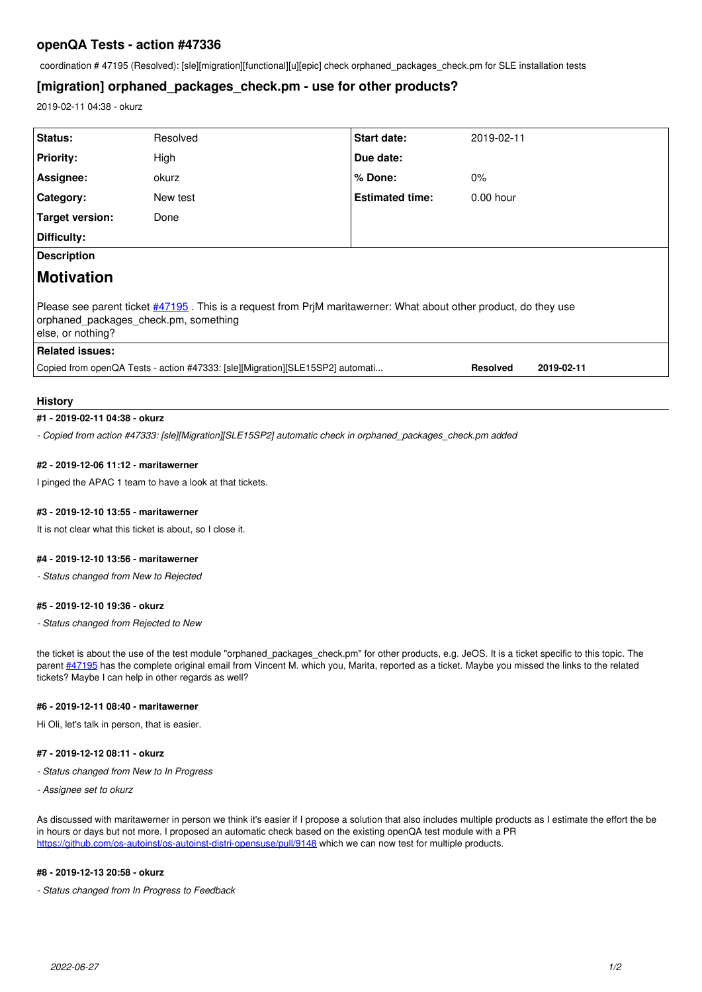## **openQA Tests - action #47336**

coordination # 47195 (Resolved): [sle][migration][functional][u][epic] check orphaned\_packages\_check.pm for SLE installation tests

# **[migration] orphaned\_packages\_check.pm - use for other products?**

2019-02-11 04:38 - okurz

| Status:                                                                                                                                                                        | Resolved | <b>Start date:</b>     | 2019-02-11      |            |
|--------------------------------------------------------------------------------------------------------------------------------------------------------------------------------|----------|------------------------|-----------------|------------|
| <b>Priority:</b>                                                                                                                                                               | High     | Due date:              |                 |            |
| Assignee:                                                                                                                                                                      | okurz    | % Done:                | $0\%$           |            |
| Category:                                                                                                                                                                      | New test | <b>Estimated time:</b> | $0.00$ hour     |            |
| Target version:                                                                                                                                                                | Done     |                        |                 |            |
| Difficulty:                                                                                                                                                                    |          |                        |                 |            |
| <b>Description</b>                                                                                                                                                             |          |                        |                 |            |
| Motivation                                                                                                                                                                     |          |                        |                 |            |
| Please see parent ticket #47195. This is a request from PrjM maritawerner: What about other product, do they use<br>orphaned packages check.pm, something<br>else, or nothing? |          |                        |                 |            |
| <b>Related issues:</b>                                                                                                                                                         |          |                        |                 |            |
| Copied from openQA Tests - action #47333: [sle][Migration][SLE15SP2] automati                                                                                                  |          |                        | <b>Resolved</b> | 2019-02-11 |
|                                                                                                                                                                                |          |                        |                 |            |

#### **History**

### **#1 - 2019-02-11 04:38 - okurz**

*- Copied from action #47333: [sle][Migration][SLE15SP2] automatic check in orphaned\_packages\_check.pm added*

#### **#2 - 2019-12-06 11:12 - maritawerner**

I pinged the APAC 1 team to have a look at that tickets.

### **#3 - 2019-12-10 13:55 - maritawerner**

It is not clear what this ticket is about, so I close it.

#### **#4 - 2019-12-10 13:56 - maritawerner**

*- Status changed from New to Rejected*

### **#5 - 2019-12-10 19:36 - okurz**

*- Status changed from Rejected to New*

the ticket is about the use of the test module "orphaned\_packages\_check.pm" for other products, e.g. JeOS. It is a ticket specific to this topic. The parent [#47195](https://progress.opensuse.org/issues/47195) has the complete original email from Vincent M. which you, Marita, reported as a ticket. Maybe you missed the links to the related tickets? Maybe I can help in other regards as well?

#### **#6 - 2019-12-11 08:40 - maritawerner**

Hi Oli, let's talk in person, that is easier.

#### **#7 - 2019-12-12 08:11 - okurz**

- *Status changed from New to In Progress*
- *Assignee set to okurz*

As discussed with maritawerner in person we think it's easier if I propose a solution that also includes multiple products as I estimate the effort the be in hours or days but not more. I proposed an automatic check based on the existing openQA test module with a PR <https://github.com/os-autoinst/os-autoinst-distri-opensuse/pull/9148>which we can now test for multiple products.

#### **#8 - 2019-12-13 20:58 - okurz**

*- Status changed from In Progress to Feedback*